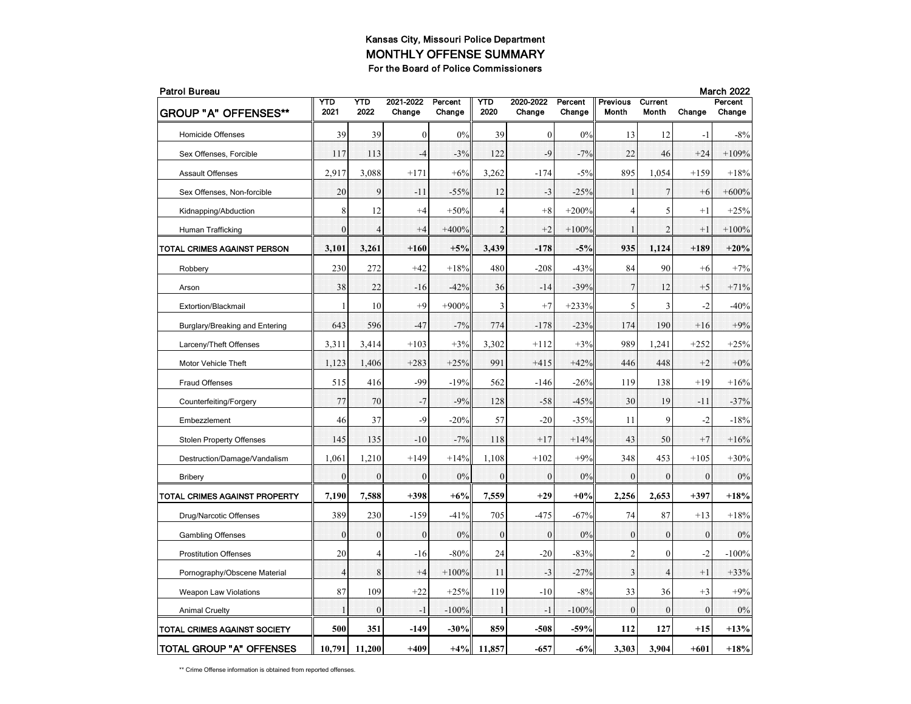| <b>Patrol Bureau</b>            |                |                |                     |                          |                |                     |                   |                   |                  | <b>March 2022</b> |                   |  |  |
|---------------------------------|----------------|----------------|---------------------|--------------------------|----------------|---------------------|-------------------|-------------------|------------------|-------------------|-------------------|--|--|
| <b>GROUP "A" OFFENSES**</b>     | YTD<br>2021    | YTD<br>2022    | 2021-2022<br>Change | <b>Percent</b><br>Change | YTD<br>2020    | 2020-2022<br>Change | Percent<br>Change | Previous<br>Month | Current<br>Month | Change            | Percent<br>Change |  |  |
| <b>Homicide Offenses</b>        | 39             | 39             | $\mathbf{0}$        | 0%                       | 39             | $\mathbf{0}$        | 0%                | 13                | 12               | $-1$              | $-8%$             |  |  |
| Sex Offenses, Forcible          | 117            | 113            | $-4$                | $-3%$                    | 122            | $-9$                | $-7%$             | 22                | 46               | $+24$             | $+109%$           |  |  |
| <b>Assault Offenses</b>         | 2,917          | 3,088          | $+171$              | $+6%$                    | 3,262          | $-174$              | $-5%$             | 895               | 1,054            | $+159$            | $+18%$            |  |  |
| Sex Offenses, Non-forcible      | 20             | 9              | $-11$               | $-55%$                   | 12             | $-3$                | $-25%$            | $\mathbf{1}$      | $\overline{7}$   | $+6$              | $+600%$           |  |  |
| Kidnapping/Abduction            | 8              | 12             | $+4$                | $+50%$                   | $\overline{4}$ | $+8$                | $+200%$           | 4                 | 5                | $+1$              | $+25%$            |  |  |
| Human Trafficking               | $\theta$       | $\overline{4}$ | $+4$                | $+400%$                  | $\overline{2}$ | $+2$                | $+100%$           | $\mathbf{I}$      | $\overline{2}$   | $+1$              | $+100%$           |  |  |
| TOTAL CRIMES AGAINST PERSON     | 3,101          | 3,261          | $+160$              | $+5%$                    | 3,439          | $-178$              | $-5%$             | 935               | 1,124            | $+189$            | $+20%$            |  |  |
| Robbery                         | 230            | 272            | $+42$               | $+18%$                   | 480            | $-208$              | $-43%$            | 84                | 90               | $+6$              | $+7%$             |  |  |
| Arson                           | 38             | 22             | $-16$               | $-42%$                   | 36             | $-14$               | $-39%$            | $\overline{7}$    | 12               | $+5$              | $+71%$            |  |  |
| Extortion/Blackmail             | 1              | 10             | $+9$                | $+900%$                  | 3              | $+7$                | $+233%$           | 5                 | 3                | $-2$              | $-40%$            |  |  |
| Burglary/Breaking and Entering  | 643            | 596            | $-47$               | $-7%$                    | 774            | $-178$              | $-23%$            | 174               | 190              | $+16$             | $+9%$             |  |  |
| Larceny/Theft Offenses          | 3,311          | 3,414          | $+103$              | $+3%$                    | 3,302          | +112                | $+3%$             | 989               | 1,241            | $+252$            | $+25%$            |  |  |
| Motor Vehicle Theft             | 1,123          | 1,406          | $+283$              | $+25%$                   | 991            | $+415$              | $+42%$            | 446               | 448              | $+2$              | $+0\%$            |  |  |
| Fraud Offenses                  | 515            | 416            | $-99$               | $-19%$                   | 562            | $-146$              | $-26%$            | 119               | 138              | $+19$             | $+16%$            |  |  |
| Counterfeiting/Forgery          | 77             | 70             | $-7$                | $-9%$                    | 128            | $-58$               | $-45%$            | 30                | 19               | $-11$             | $-37%$            |  |  |
| Embezzlement                    | 46             | 37             | $-9$                | $-20%$                   | 57             | $-20$               | $-35%$            | 11                | 9                | $-2$              | $-18%$            |  |  |
| <b>Stolen Property Offenses</b> | 145            | 135            | $-10$               | $-7%$                    | 118            | $+17$               | $+14%$            | 43                | 50               | $+7$              | $+16%$            |  |  |
| Destruction/Damage/Vandalism    | 1,061          | 1,210          | $+149$              | $+14%$                   | 1,108          | $+102$              | $+9%$             | 348               | 453              | $+105$            | $+30%$            |  |  |
| Bribery                         | $\mathbf{0}$   | $\theta$       | $\mathbf{0}$        | 0%                       | $\mathbf{0}$   | $\boldsymbol{0}$    | 0%                | $\mathbf{0}$      | $\mathbf{0}$     | $\theta$          | 0%                |  |  |
| TOTAL CRIMES AGAINST PROPERTY   | 7,190          | 7,588          | $+398$              | $+6\%$                   | 7,559          | $+29$               | $+0\%$            | 2,256             | 2,653            | $+397$            | $+18%$            |  |  |
| Drug/Narcotic Offenses          | 389            | 230            | $-159$              | $-41%$                   | 705            | $-475$              | $-67%$            | 74                | 87               | $+13$             | $+18%$            |  |  |
| Gambling Offenses               | $\theta$       | $\theta$       | $\mathbf{0}$        | 0%                       | $\theta$       | $\mathbf{0}$        | 0%                | $\mathbf{0}$      | $\theta$         | $\theta$          | 0%                |  |  |
| <b>Prostitution Offenses</b>    | 20             | $\overline{4}$ | $-16$               | $-80%$                   | 24             | $-20$               | $-83%$            | $\overline{c}$    | $\boldsymbol{0}$ | $-2$              | $-100%$           |  |  |
| Pornography/Obscene Material    | $\overline{4}$ | 8              | $+4$                | $+100%$                  | $11\,$         | $-3$                | $-27%$            | 3                 | $\overline{4}$   | $+1$              | $+33%$            |  |  |
| <b>Weapon Law Violations</b>    | 87             | 109            | $+22$               | $+25%$                   | 119            | $-10$               | $-8%$             | 33                | 36               | $+3$              | $+9%$             |  |  |
| <b>Animal Cruelty</b>           | $\mathbf{1}$   | $\theta$       | $-1$                | $-100%$                  | $\mathbf{1}$   | $-1$                | $-100%$           | $\mathbf{0}$      | $\Omega$         | $\theta$          | 0%                |  |  |
| TOTAL CRIMES AGAINST SOCIETY    | 500            | 351            | $-149$              | $-30%$                   | 859            | $-508$              | $-59%$            | 112               | 127              | $+15$             | $+13%$            |  |  |
| <b>TOTAL GROUP "A" OFFENSES</b> | 10,791         | 11,200         | $+409$              | $+4%$                    | 11,857         | $-657$              | $-6%$             | 3,303             | 3,904            | $+601$            | $+18%$            |  |  |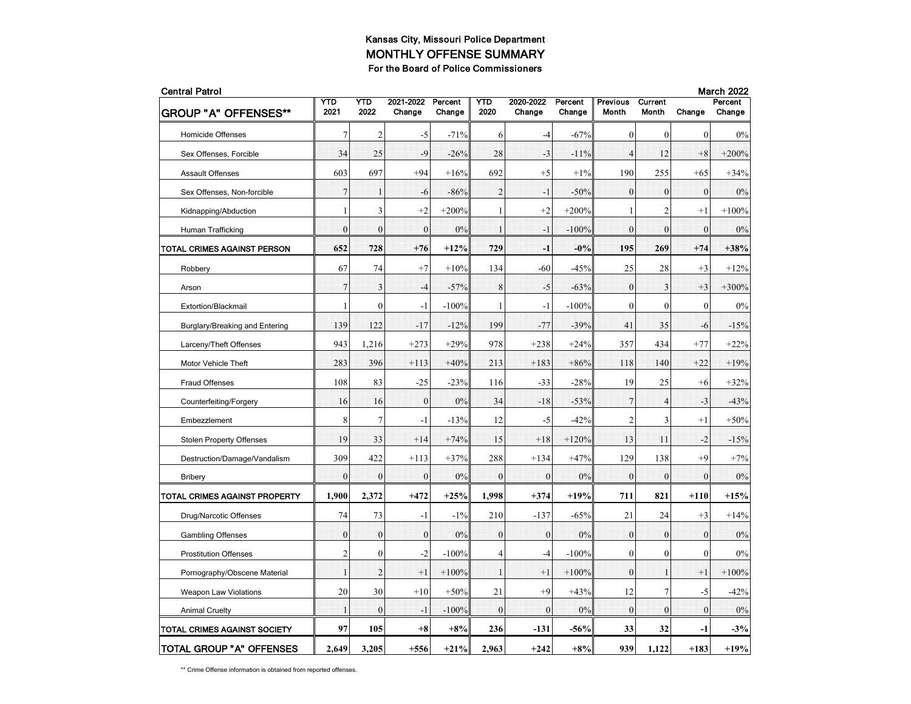| <b>Central Patrol</b>           |                |                |                     |                   |                |                     |                   |                          |                                | <b>March 2022</b> |                   |  |
|---------------------------------|----------------|----------------|---------------------|-------------------|----------------|---------------------|-------------------|--------------------------|--------------------------------|-------------------|-------------------|--|
| <b>GROUP "A" OFFENSES**</b>     | YTD<br>2021    | YTD<br>2022    | 2021-2022<br>Change | Percent<br>Change | YTD<br>2020    | 2020-2022<br>Change | Percent<br>Change | <b>Previous</b><br>Month | <b>Current</b><br><b>Month</b> | Change            | Percent<br>Change |  |
| <b>Homicide Offenses</b>        | $\tau$         | $\overline{2}$ | $-5$                | $-71%$            | 6              | $-4$                | $-67%$            | $\boldsymbol{0}$         | $\mathbf{0}$                   | $\overline{0}$    | 0%                |  |
| Sex Offenses, Forcible          | 34             | 25             | $-9$                | $-26%$            | 28             | $-3$                | $-11\%$           | $\overline{4}$           | 12                             | $+8$              | $+200%$           |  |
| <b>Assault Offenses</b>         | 603            | 697            | $+94$               | $+16%$            | 692            | $+5$                | $+1\%$            | 190                      | 255                            | $+65$             | $+34%$            |  |
| Sex Offenses, Non-forcible      | $\overline{7}$ | $\mathbf{1}$   | $-6$                | $-86%$            | $\overline{2}$ | $-1$                | $-50%$            | $\mathbf{0}$             | $\mathbf{0}$                   | $\boldsymbol{0}$  | 0%                |  |
| Kidnapping/Abduction            | 1              | 3              | $+2$                | $+200%$           | $\mathbf{1}$   | $+2$                | $+200%$           | 1                        | $\overline{2}$                 | $+1$              | $+100%$           |  |
| Human Trafficking               | $\mathbf{0}$   | $\mathbf{0}$   | $\mathbf{0}$        | 0%                | $\mathbf{1}$   | $-1$                | $-100%$           | $\mathbf{0}$             | $\mathbf{0}$                   | $\mathbf{0}$      | 0%                |  |
| TOTAL CRIMES AGAINST PERSON     | 652            | 728            | $+76$               | $+12%$            | 729            | $-1$                | $-0%$             | 195                      | 269                            | $+74$             | $+38%$            |  |
| Robbery                         | 67             | 74             | $+7$                | $+10%$            | 134            | $-60$               | $-45%$            | 25                       | 28                             | $+3$              | $+12%$            |  |
| Arson                           | $\overline{7}$ | 3              | $-4$                | $-57%$            | 8              | $-5$                | $-63%$            | $\bf{0}$                 | 3                              | $+3$              | $+300%$           |  |
| Extortion/Blackmail             | 1              | $\mathbf{0}$   | $-1$                | $-100%$           | $\mathbf{1}$   | $-1$                | $-100%$           | $\mathbf{0}$             | $\theta$                       | $\boldsymbol{0}$  | $0\%$             |  |
| Burglary/Breaking and Entering  | 139            | 122            | $-17$               | $-12%$            | 199            | $-77$               | $-39%$            | 41                       | 35                             | $-6$              | $-15%$            |  |
| Larceny/Theft Offenses          | 943            | 1,216          | $+273$              | $+29%$            | 978            | $+238$              | $+24%$            | 357                      | 434                            | $+77$             | $+22%$            |  |
| Motor Vehicle Theft             | 283            | 396            | $+113$              | $+40%$            | 213            | $+183$              | $+86%$            | 118                      | 140                            | $+22$             | $+19%$            |  |
| <b>Fraud Offenses</b>           | 108            | 83             | $-25$               | $-23%$            | 116            | $-33$               | $-28%$            | 19                       | 25                             | $+6$              | $+32%$            |  |
| Counterfeiting/Forgery          | 16             | 16             | $\mathbf{0}$        | 0%                | 34             | $-18$               | $-53%$            | $\overline{7}$           | $\overline{4}$                 | $-3$              | $-43%$            |  |
| Embezzlement                    | 8              | 7              | $-1$                | $-13%$            | 12             | $-5$                | $-42%$            | $\mathfrak{2}$           | 3                              | $+1$              | $+50%$            |  |
| <b>Stolen Property Offenses</b> | 19             | 33             | $+14$               | $+74%$            | 15             | $+18$               | $+120%$           | 13                       | 11                             | $-2$              | $-15%$            |  |
| Destruction/Damage/Vandalism    | 309            | 422            | $+113$              | $+37%$            | 288            | $+134$              | $+47%$            | 129                      | 138                            | $+9$              | $+7%$             |  |
| <b>Bribery</b>                  | $\mathbf{0}$   | $\mathbf{0}$   | $\overline{0}$      | 0%                | $\mathbf{0}$   | $\mathbf{0}$        | 0%                | $\mathbf{0}$             | $\theta$                       | $\mathbf{0}$      | 0%                |  |
| TOTAL CRIMES AGAINST PROPERTY   | 1,900          | 2,372          | $+472$              | $+25%$            | 1,998          | $+374$              | $+19%$            | 711                      | 821                            | $+110$            | $+15%$            |  |
| Drug/Narcotic Offenses          | 74             | 73             | $-1$                | $-1\%$            | 210            | $-137$              | $-65%$            | 21                       | 24                             | $+3$              | $+14%$            |  |
| <b>Gambling Offenses</b>        | $\mathbf{0}$   | $\mathbf{0}$   | $\overline{0}$      | 0%                | $\mathbf{0}$   | $\boldsymbol{0}$    | 0%                | $\mathbf{0}$             | $\mathbf{0}$                   | $\mathbf{0}$      | $0\%$             |  |
| <b>Prostitution Offenses</b>    | $\overline{2}$ | $\mathbf{0}$   | $-2$                | $-100%$           | 4              | $-4$                | $-100%$           | $\mathbf{0}$             | $\mathbf{0}$                   | $\boldsymbol{0}$  | 0%                |  |
| Pornography/Obscene Material    | $\mathbf{1}$   | $\overline{2}$ | $+1$                | $+100%$           | $\mathbf{1}$   | $+1$                | $+100%$           | $\mathbf{0}$             | 1                              | $+1$              | $+100%$           |  |
| <b>Weapon Law Violations</b>    | 20             | 30             | $+10$               | $+50%$            | 21             | $+9$                | $+43%$            | 12                       | $\tau$                         | $-5$              | $-42%$            |  |
| <b>Animal Cruelty</b>           | $\mathbf{1}$   | $\theta$       | $-1$                | $-100%$           | $\theta$       | $\theta$            | $0\%$             | $\theta$                 | $\theta$                       | $\theta$          | 0%                |  |
| TOTAL CRIMES AGAINST SOCIETY    | 97             | 105            | $+8$                | $+8%$             | 236            | $-131$              | $-56%$            | 33                       | 32                             | $-1$              | $-3%$             |  |
| <b>TOTAL GROUP "A" OFFENSES</b> | 2,649          | 3,205          | $+556$              | $+21%$            | 2,963          | $+242$              | $+8%$             | 939                      | 1,122                          | $+183$            | $+19%$            |  |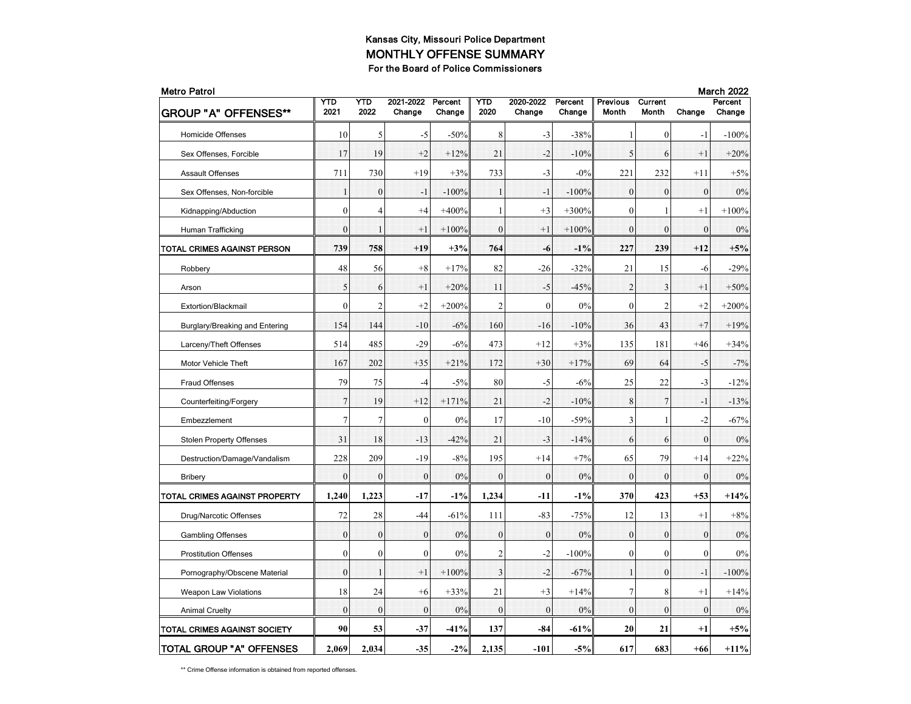| <b>Metro Patrol</b>             |                  |                  |                     |                   |                |                     |                   |                          |                         | <b>March 2022</b> |                   |  |
|---------------------------------|------------------|------------------|---------------------|-------------------|----------------|---------------------|-------------------|--------------------------|-------------------------|-------------------|-------------------|--|
| <b>GROUP "A" OFFENSES**</b>     | YTD<br>2021      | YTD<br>2022      | 2021-2022<br>Change | Percent<br>Change | YTD<br>2020    | 2020-2022<br>Change | Percent<br>Change | <b>Previous</b><br>Month | Current<br><b>Month</b> | Change            | Percent<br>Change |  |
| <b>Homicide Offenses</b>        | 10               | 5                | $-5$                | $-50%$            | 8              | $-3$                | $-38%$            | 1                        | $\mathbf{0}$            | $-1$              | $-100%$           |  |
| Sex Offenses, Forcible          | 17               | 19               | $+2$                | $+12%$            | 21             | $-2$                | $-10%$            | 5                        | 6                       | $+1$              | $+20%$            |  |
| <b>Assault Offenses</b>         | 711              | 730              | $+19$               | $+3%$             | 733            | $-3$                | $-0\%$            | 221                      | 232                     | $+11$             | $+5%$             |  |
| Sex Offenses, Non-forcible      | $\mathbf 1$      | $\boldsymbol{0}$ | $-1$                | $-100%$           | $\mathbf{1}$   | $-1$                | $-100%$           | $\mathbf{0}$             | $\mathbf{0}$            | $\mathbf{0}$      | 0%                |  |
| Kidnapping/Abduction            | $\mathbf{0}$     | 4                | $+4$                | $+400%$           | 1              | $+3$                | $+300%$           | $\mathbf{0}$             | 1                       | $+1$              | $+100%$           |  |
| Human Trafficking               | $\theta$         |                  | $+1$                | $+100%$           | $\theta$       | $+1$                | $+100%$           | $\mathbf{0}$             | $\theta$                | $\theta$          | 0%                |  |
| TOTAL CRIMES AGAINST PERSON     | 739              | 758              | $+19$               | $+3%$             | 764            | -6                  | $-1\%$            | 227                      | 239                     | $+12$             | $+5%$             |  |
| Robbery                         | 48               | 56               | $+8$                | $+17%$            | 82             | $-26$               | $-32%$            | 21                       | 15                      | -6                | $-29%$            |  |
| Arson                           | 5                | 6                | $+1$                | $+20%$            | 11             | $-5$                | $-45%$            | $\overline{2}$           | 3                       | $+1$              | $+50%$            |  |
| Extortion/Blackmail             | $\mathbf{0}$     | $\overline{2}$   | $+2$                | $+200%$           | $\mathfrak{2}$ | $\mathbf{0}$        | 0%                | $\mathbf{0}$             | $\overline{c}$          | $+2$              | $+200%$           |  |
| Burglary/Breaking and Entering  | 154              | 144              | $-10$               | $-6%$             | 160            | $-16$               | $-10%$            | 36                       | 43                      | $+7$              | $+19%$            |  |
| Larceny/Theft Offenses          | 514              | 485              | $-29$               | $-6%$             | 473            | $+12$               | $+3%$             | 135                      | 181                     | $+46$             | $+34%$            |  |
| Motor Vehicle Theft             | 167              | 202              | $+35$               | $+21%$            | 172            | $+30$               | $+17%$            | 69                       | 64                      | $-5$              | $-7%$             |  |
| <b>Fraud Offenses</b>           | 79               | 75               | $-4$                | $-5%$             | 80             | $-5$                | $-6%$             | 25                       | 22                      | $-3$              | $-12%$            |  |
| Counterfeiting/Forgery          | $\overline{7}$   | 19               | $+12$               | $+171%$           | 21             | $-2$                | $-10%$            | 8                        | $\overline{7}$          | $-1$              | $-13%$            |  |
| Embezzlement                    | $\overline{7}$   | 7                | $\mathbf{0}$        | 0%                | 17             | $-10$               | $-59%$            | 3                        | 1                       | $-2$              | $-67%$            |  |
| <b>Stolen Property Offenses</b> | 31               | 18               | $-13$               | $-42%$            | 21             | $-3$                | $-14%$            | 6                        | 6                       | $\theta$          | 0%                |  |
| Destruction/Damage/Vandalism    | 228              | 209              | $-19$               | $-8%$             | 195            | $+14$               | $+7%$             | 65                       | 79                      | $+14$             | $+22%$            |  |
| <b>Bribery</b>                  | $\overline{0}$   | $\mathbf{0}$     | $\overline{0}$      | 0%                | $\mathbf{0}$   | $\mathbf{0}$        | 0%                | $\mathbf{0}$             | $\mathbf{0}$            | $\mathbf{0}$      | 0%                |  |
| TOTAL CRIMES AGAINST PROPERTY   | 1,240            | 1,223            | $-17$               | $-1\%$            | 1,234          | $-11$               | $-1\%$            | 370                      | 423                     | $+53$             | $+14%$            |  |
| Drug/Narcotic Offenses          | 72               | 28               | -44                 | $-61%$            | 111            | $-83$               | $-75%$            | 12                       | 13                      | $+1$              | $+8%$             |  |
| <b>Gambling Offenses</b>        | $\Omega$         | $\mathbf{0}$     | $\mathbf{0}$        | 0%                | $\mathbf{0}$   | $\mathbf{0}$        | 0%                | $\mathbf{0}$             | $\mathbf{0}$            | $\mathbf{0}$      | 0%                |  |
| <b>Prostitution Offenses</b>    | $\boldsymbol{0}$ | $\boldsymbol{0}$ | $\mathbf{0}$        | 0%                | $\overline{c}$ | $-2$                | $-100%$           | $\boldsymbol{0}$         | $\mathbf{0}$            | $\theta$          | 0%                |  |
| Pornography/Obscene Material    | $\mathbf{0}$     | $\mathbf{1}$     | $+1$                | $+100%$           | 3              | $-2$                | $-67%$            | $\mathbf{1}$             | $\boldsymbol{0}$        | $-1$              | $-100%$           |  |
| <b>Weapon Law Violations</b>    | 18               | 24               | $+6$                | $+33%$            | 21             | $+3$                | $+14%$            | $\tau$                   | 8                       | $+1$              | $+14%$            |  |
| <b>Animal Cruelty</b>           | $\theta$         | $\mathbf{0}$     | $\theta$            | 0%                | $\theta$       | $\theta$            | 0%                | $\mathbf{0}$             | $\theta$                | $\theta$          | 0%                |  |
| TOTAL CRIMES AGAINST SOCIETY    | 90               | 53               | $-37$               | $-41%$            | 137            | -84                 | $-61%$            | 20                       | 21                      | $^{+1}$           | $+5%$             |  |
| TOTAL GROUP "A" OFFENSES        | 2,069            | 2,034            | $-35$               | $-2%$             | 2,135          | $-101$              | $-5%$             | 617                      | 683                     | $+66$             | $+11%$            |  |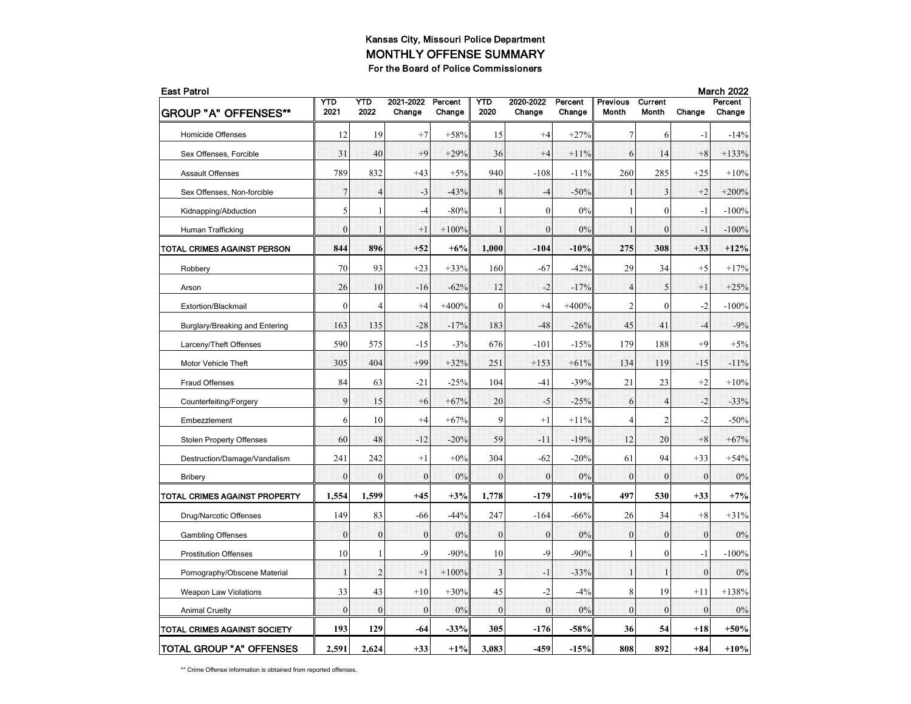| <b>East Patrol</b>              |                |                |                     |                   |              |                     |                   |                          |                         | <b>March 2022</b> |                   |  |
|---------------------------------|----------------|----------------|---------------------|-------------------|--------------|---------------------|-------------------|--------------------------|-------------------------|-------------------|-------------------|--|
| <b>GROUP "A" OFFENSES**</b>     | YTD<br>2021    | YTD<br>2022    | 2021-2022<br>Change | Percent<br>Change | YTD<br>2020  | 2020-2022<br>Change | Percent<br>Change | <b>Previous</b><br>Month | Current<br><b>Month</b> | Change            | Percent<br>Change |  |
| <b>Homicide Offenses</b>        | 12             | 19             | $+7$                | $+58%$            | 15           | $+4$                | $+27%$            | 7                        | 6                       | $-1$              | $-14%$            |  |
| Sex Offenses, Forcible          | 31             | 40             | $+9$                | $+29%$            | 36           | $+4$                | $+11\%$           | 6                        | 14                      | $+8$              | $+133%$           |  |
| <b>Assault Offenses</b>         | 789            | 832            | $+43$               | $+5%$             | 940          | $-108$              | $-11%$            | 260                      | 285                     | $+25$             | $+10%$            |  |
| Sex Offenses, Non-forcible      | $\overline{7}$ | $\overline{4}$ | $-3$                | $-43%$            | 8            | $-4$                | $-50%$            | $\mathbf{1}$             | 3                       | $+2$              | $+200%$           |  |
| Kidnapping/Abduction            | 5              | 1              | $-4$                | $-80%$            | 1            | $\mathbf{0}$        | 0%                | 1                        | $\theta$                | $-1$              | $-100%$           |  |
| Human Trafficking               | $\theta$       |                | $+1$                | $+100%$           | $\mathbf{1}$ | $\theta$            | 0%                | $\mathbf{1}$             | $\theta$                | $-1$              | $-100%$           |  |
| TOTAL CRIMES AGAINST PERSON     | 844            | 896            | $+52$               | $+6%$             | 1,000        | $-104$              | $-10%$            | 275                      | 308                     | $+33$             | $+12%$            |  |
| Robbery                         | 70             | 93             | $+23$               | $+33%$            | 160          | $-67$               | $-42%$            | 29                       | 34                      | $+5$              | $+17%$            |  |
| Arson                           | 26             | 10             | $-16$               | $-62%$            | 12           | $-2$                | $-17%$            | $\overline{4}$           | 5                       | $+1$              | $+25%$            |  |
| Extortion/Blackmail             | $\mathbf{0}$   | 4              | $+4$                | $+400%$           | $\mathbf{0}$ | $+4$                | $+400%$           | $\overline{c}$           | $\mathbf{0}$            | -2                | $-100%$           |  |
| Burglary/Breaking and Entering  | 163            | 135            | $-28$               | $-17%$            | 183          | $-48$               | $-26%$            | 45                       | 41                      | $-4$              | $-9%$             |  |
| Larceny/Theft Offenses          | 590            | 575            | $-15$               | $-3%$             | 676          | $-101$              | $-15%$            | 179                      | 188                     | $+9$              | $+5%$             |  |
| Motor Vehicle Theft             | 305            | 404            | $+99$               | $+32%$            | 251          | $+153$              | $+61%$            | 134                      | 119                     | $-15$             | $-11%$            |  |
| <b>Fraud Offenses</b>           | 84             | 63             | $-21$               | $-25%$            | 104          | -41                 | $-39%$            | 21                       | 23                      | $+2$              | $+10%$            |  |
| Counterfeiting/Forgery          | 9              | 15             | $+6$                | $+67%$            | 20           | $-5$                | $-25%$            | 6                        | $\overline{4}$          | $-2$              | $-33%$            |  |
| Embezzlement                    | 6              | 10             | $+4$                | $+67%$            | 9            | $+1$                | $+11%$            | 4                        | 2                       | $-2$              | $-50%$            |  |
| <b>Stolen Property Offenses</b> | 60             | 48             | $-12$               | $-20%$            | 59           | $-11$               | $-19%$            | 12                       | 20                      | $+8$              | $+67%$            |  |
| Destruction/Damage/Vandalism    | 241            | 242            | $+1$                | $+0\%$            | 304          | $-62$               | $-20%$            | 61                       | 94                      | $+33$             | $+54%$            |  |
| <b>Bribery</b>                  | $\overline{0}$ | $\mathbf{0}$   | $\overline{0}$      | 0%                | $\mathbf{0}$ | $\mathbf{0}$        | 0%                | $\mathbf{0}$             | $\mathbf{0}$            | $\mathbf{0}$      | 0%                |  |
| TOTAL CRIMES AGAINST PROPERTY   | 1,554          | 1,599          | $+45$               | $+3%$             | 1,778        | $-179$              | $-10%$            | 497                      | 530                     | $+33$             | $+7%$             |  |
| Drug/Narcotic Offenses          | 149            | 83             | -66                 | $-44%$            | 247          | $-164$              | $-66%$            | 26                       | 34                      | $+8$              | $+31%$            |  |
| <b>Gambling Offenses</b>        | $\theta$       | $\mathbf{0}$   | $\mathbf{0}$        | 0%                | $\mathbf{0}$ | $\mathbf{0}$        | 0%                | $\mathbf{0}$             | $\theta$                | $\theta$          | 0%                |  |
| <b>Prostitution Offenses</b>    | 10             | 1              | $-9$                | $-90%$            | 10           | $-9$                | $-90%$            | $\mathbf{1}$             | $\mathbf{0}$            | $-1$              | $-100%$           |  |
| Pornography/Obscene Material    | $\mathbf 1$    | $\overline{2}$ | $+1$                | $+100%$           | 3            | $-1$                | $-33%$            | $\mathbf{1}$             | $\mathbf{1}$            | $\mathbf{0}$      | $0\%$             |  |
| <b>Weapon Law Violations</b>    | 33             | 43             | $+10$               | $+30%$            | 45           | $-2$                | $-4%$             | 8                        | 19                      | $+11$             | $+138%$           |  |
| <b>Animal Cruelty</b>           | $\theta$       | $\mathbf{0}$   | $\theta$            | 0%                | $\theta$     | $\theta$            | 0%                | $\mathbf{0}$             | $\theta$                | $\theta$          | 0%                |  |
| TOTAL CRIMES AGAINST SOCIETY    | 193            | 129            | -64                 | $-33%$            | 305          | $-176$              | $-58%$            | 36                       | 54                      | $+18$             | $+50%$            |  |
| <b>TOTAL GROUP "A" OFFENSES</b> | 2,591          | 2,624          | $+33$               | $+1\%$            | 3,083        | $-459$              | $-15%$            | 808                      | 892                     | $+84$             | $+10%$            |  |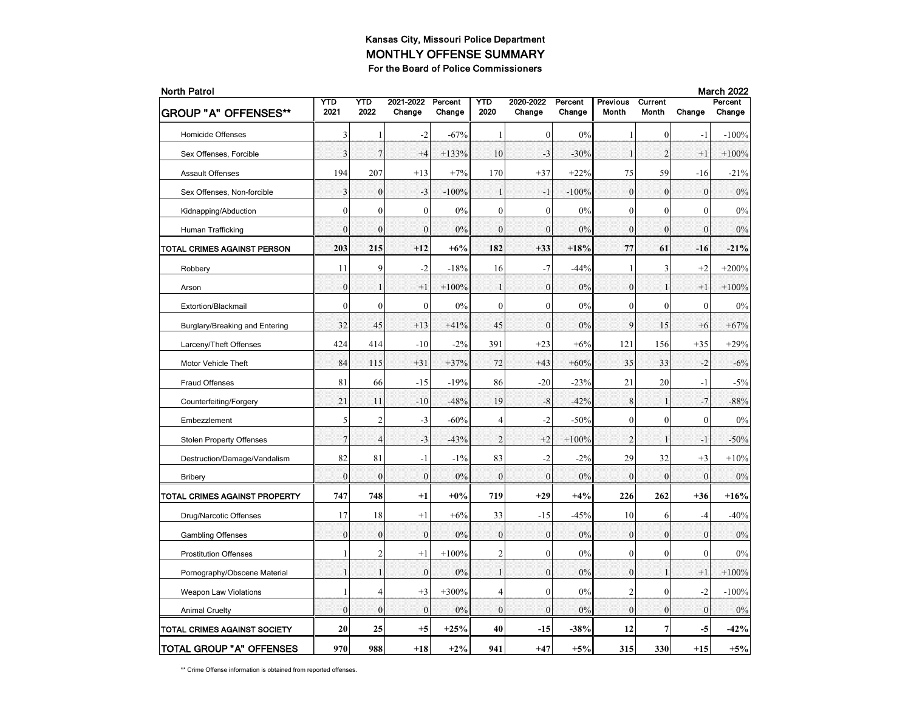| <b>North Patrol</b>             |                  |                |                     |                   |                |                     |                   |                          |                         |                  | <b>March 2022</b> |
|---------------------------------|------------------|----------------|---------------------|-------------------|----------------|---------------------|-------------------|--------------------------|-------------------------|------------------|-------------------|
| <b>GROUP "A" OFFENSES**</b>     | YTD<br>2021      | YTD<br>2022    | 2021-2022<br>Change | Percent<br>Change | YTD<br>2020    | 2020-2022<br>Change | Percent<br>Change | <b>Previous</b><br>Month | Current<br><b>Month</b> | Change           | Percent<br>Change |
| <b>Homicide Offenses</b>        | 3                | 1              | $-2$                | $-67%$            | 1              | $\mathbf{0}$        | 0%                | 1                        | $\mathbf{0}$            | $-1$             | $-100%$           |
| Sex Offenses, Forcible          | 3                | 7              | $+4$                | $+133%$           | 10             | $-3$                | $-30%$            | $\mathbf{1}$             | $\overline{2}$          | $+1$             | $+100%$           |
| <b>Assault Offenses</b>         | 194              | 207            | $+13$               | $+7%$             | 170            | $+37$               | $+22%$            | 75                       | 59                      | $-16$            | $-21%$            |
| Sex Offenses, Non-forcible      | 3                | $\mathbf{0}$   | $-3$                | $-100%$           | $\mathbf{1}$   | $-1$                | $-100%$           | $\mathbf{0}$             | $\mathbf{0}$            | $\boldsymbol{0}$ | 0%                |
| Kidnapping/Abduction            | $\mathbf{0}$     | $\mathbf{0}$   | $\mathbf{0}$        | 0%                | $\mathbf{0}$   | $\mathbf{0}$        | 0%                | $\mathbf{0}$             | $\mathbf{0}$            | $\theta$         | 0%                |
| Human Trafficking               | $\theta$         | $\theta$       | $\theta$            | 0%                | $\theta$       | $\theta$            | 0%                | $\mathbf{0}$             | $\theta$                | $\theta$         | 0%                |
| TOTAL CRIMES AGAINST PERSON     | 203              | 215            | $+12$               | $+6%$             | 182            | $+33$               | $+18%$            | 77                       | 61                      | $-16$            | $-21%$            |
| Robbery                         | 11               | 9              | $-2$                | $-18%$            | 16             | $-7$                | $-44%$            | $\mathbf{1}$             | 3                       | $+2$             | $+200%$           |
| Arson                           | $\boldsymbol{0}$ |                | $+1$                | $+100%$           | $\mathbf{1}$   | $\mathbf{0}$        | $0\%$             | $\bf{0}$                 | J                       | $+1$             | $+100%$           |
| Extortion/Blackmail             | $\mathbf{0}$     | $\mathbf{0}$   | $\overline{0}$      | 0%                | $\mathbf{0}$   | $\mathbf{0}$        | 0%                | $\mathbf{0}$             | $\mathbf{0}$            | $\mathbf{0}$     | 0%                |
| Burglary/Breaking and Entering  | 32               | 45             | $+13$               | $+41%$            | 45             | $\bf{0}$            | $0\%$             | 9                        | 15                      | $+6$             | $+67%$            |
| Larceny/Theft Offenses          | 424              | 414            | $-10$               | $-2\%$            | 391            | $+23$               | $+6%$             | 121                      | 156                     | $+35$            | $+29%$            |
| Motor Vehicle Theft             | 84               | 115            | $+31$               | $+37%$            | 72             | $+43$               | $+60%$            | 35                       | 33                      | $-2$             | $-6%$             |
| <b>Fraud Offenses</b>           | 81               | 66             | $-15$               | $-19%$            | 86             | $-20$               | $-23%$            | 21                       | 20                      | $-1$             | $-5%$             |
| Counterfeiting/Forgery          | 21               | 11             | $-10$               | $-48%$            | 19             | $-8$                | $-42%$            | 8                        | ା                       | $-7$             | $-88%$            |
| Embezzlement                    | 5                | 2              | $-3$                | $-60%$            | 4              | $-2$                | $-50%$            | $\mathbf{0}$             | $\mathbf{0}$            | $\mathbf{0}$     | 0%                |
| <b>Stolen Property Offenses</b> | $\overline{7}$   | $\overline{4}$ | $-3$                | $-43%$            | $\overline{2}$ | $+2$                | $+100%$           | $\overline{2}$           | ₹                       | $-1$             | $-50%$            |
| Destruction/Damage/Vandalism    | 82               | 81             | $-1$                | $-1\%$            | 83             | $-2$                | $-2%$             | 29                       | 32                      | $+3$             | $+10%$            |
| <b>Bribery</b>                  | $\bf{0}$         | $\mathbf{0}$   | $\overline{0}$      | 0%                | $\mathbf{0}$   | $\mathbf{0}$        | 0%                | $\mathbf{0}$             | $\mathbf{0}$            | $\mathbf{0}$     | 0%                |
| TOTAL CRIMES AGAINST PROPERTY   | 747              | 748            | $+1$                | $+0\%$            | 719            | $+29$               | $+4%$             | 226                      | 262                     | $+36$            | $+16%$            |
| Drug/Narcotic Offenses          | 17               | 18             | $+1$                | $+6%$             | 33             | $-15$               | $-45%$            | 10                       | 6                       | $-4$             | $-40%$            |
| <b>Gambling Offenses</b>        | $\Omega$         | $\mathbf{0}$   | $\overline{0}$      | 0%                | $\theta$       | $\mathbf{0}$        | 0%                | $\mathbf{0}$             | $\theta$                | $\theta$         | 0%                |
| <b>Prostitution Offenses</b>    | 1                | $\overline{c}$ | $+1$                | $+100%$           | $\overline{c}$ | $\boldsymbol{0}$    | 0%                | $\boldsymbol{0}$         | $\mathbf{0}$            | $\theta$         | 0%                |
| Pornography/Obscene Material    | $\mathbf{1}$     | $\mathbf{1}$   | $\boldsymbol{0}$    | 0%                | $\mathbf{1}$   | $\mathbf{0}$        | 0%                | $\boldsymbol{0}$         | 1                       | $+1$             | $+100%$           |
| <b>Weapon Law Violations</b>    | 1                | 4              | $+3$                | $+300%$           | 4              | $\mathbf{0}$        | 0%                | $\mathfrak{2}$           | $\mathbf{0}$            | $-2$             | $-100%$           |
| <b>Animal Cruelty</b>           | $\theta$         | $\mathbf{0}$   | $\theta$            | 0%                | $\theta$       | $\theta$            | 0%                | $\mathbf{0}$             | $\theta$                | $\theta$         | 0%                |
| TOTAL CRIMES AGAINST SOCIETY    | 20               | 25             | $+5$                | $+25%$            | 40             | $-15$               | $-38%$            | 12                       | 7                       | -5               | $-42%$            |
| TOTAL GROUP "A" OFFENSES        | 970              | 988            | $+18$               | $+2%$             | 941            | $+47$               | $+5%$             | 315                      | 330                     | $+15$            | $+5%$             |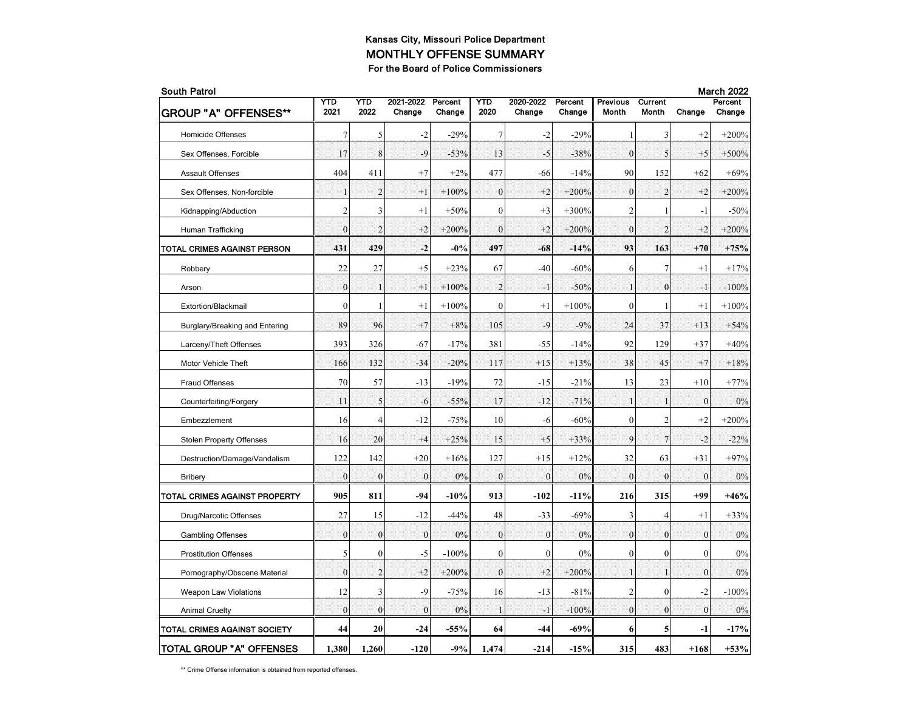| <b>South Patrol</b>             |                |                  |                     |                   |                |                     |                   |                          |                         | <b>March 2022</b> |                   |  |
|---------------------------------|----------------|------------------|---------------------|-------------------|----------------|---------------------|-------------------|--------------------------|-------------------------|-------------------|-------------------|--|
| <b>GROUP "A" OFFENSES**</b>     | YTD<br>2021    | YTD<br>2022      | 2021-2022<br>Change | Percent<br>Change | YTD<br>2020    | 2020-2022<br>Change | Percent<br>Change | <b>Previous</b><br>Month | Current<br><b>Month</b> | Change            | Percent<br>Change |  |
| <b>Homicide Offenses</b>        | $\overline{7}$ | 5                | $-2$                | $-29%$            | 7              | $-2$                | $-29%$            | 1                        | 3                       | $+2$              | $+200%$           |  |
| Sex Offenses, Forcible          | 17             | 8                | -9                  | $-53%$            | 13             | $-5$                | $-38%$            | $\boldsymbol{0}$         | 5                       | $+5$              | $+500%$           |  |
| <b>Assault Offenses</b>         | 404            | 411              | $+7$                | $+2%$             | 477            | $-66$               | $-14%$            | 90                       | 152                     | $+62$             | $+69%$            |  |
| Sex Offenses, Non-forcible      | $\mathbf{1}$   | $\overline{2}$   | $+1$                | $+100%$           | $\mathbf{0}$   | $+2$                | $+200%$           | $\mathbf{0}$             | $\overline{2}$          | $+2$              | $+200%$           |  |
| Kidnapping/Abduction            | $\overline{2}$ | 3                | $+1$                | $+50%$            | $\mathbf{0}$   | $+3$                | $+300%$           | $\mathfrak{2}$           | 1                       | $-1$              | $-50%$            |  |
| Human Trafficking               | $\theta$       | $\overline{2}$   | $+2$                | $+200%$           | $\theta$       | $+2$                | $+200%$           | $\mathbf{0}$             | $\overline{2}$          | $+2$              | $+200%$           |  |
| TOTAL CRIMES AGAINST PERSON     | 431            | 429              | $-2$                | -0%               | 497            | -68                 | $-14%$            | 93                       | 163                     | $+70$             | $+75%$            |  |
| Robbery                         | 22             | 27               | $+5$                | $+23%$            | 67             | $-40$               | $-60%$            | 6                        | 7                       | $+1$              | $+17%$            |  |
| Arson                           | $\mathbf{0}$   |                  | $+1$                | $+100%$           | $\overline{2}$ | $-1$                | $-50%$            | $\mathbf 1$              | $\boldsymbol{0}$        | $-1$              | $-100%$           |  |
| Extortion/Blackmail             | $\mathbf{0}$   | 1                | $+1$                | $+100%$           | $\mathbf{0}$   | $+1$                | $+100%$           | $\mathbf{0}$             | 1                       | $+1$              | $+100%$           |  |
| Burglary/Breaking and Entering  | 89             | 96               | $+7$                | $+8%$             | 105            | $-9$                | $-9%$             | 24                       | 37                      | $+13$             | $+54%$            |  |
| Larceny/Theft Offenses          | 393            | 326              | $-67$               | $-17%$            | 381            | $-55$               | $-14%$            | 92                       | 129                     | $+37$             | $+40%$            |  |
| Motor Vehicle Theft             | 166            | 132              | $-34$               | $-20%$            | 117            | $+15$               | $+13%$            | 38                       | 45                      | $+7$              | $+18%$            |  |
| <b>Fraud Offenses</b>           | 70             | 57               | $-13$               | $-19%$            | 72             | $-15$               | $-21%$            | 13                       | 23                      | $+10$             | $+77%$            |  |
| Counterfeiting/Forgery          | 11             | 5                | $-6$                | $-55%$            | 17             | $-12$               | $-71%$            | $\mathbf{1}$             | ٦                       | $\mathbf{0}$      | 0%                |  |
| Embezzlement                    | 16             | 4                | $-12$               | $-75%$            | 10             | -6                  | $-60%$            | $\mathbf{0}$             | 2                       | $+2$              | $+200%$           |  |
| <b>Stolen Property Offenses</b> | 16             | 20               | $+4$                | $+25%$            | 15             | $+5$                | $+33%$            | 9                        | $\overline{7}$          | $-2$              | $-22%$            |  |
| Destruction/Damage/Vandalism    | 122            | 142              | $+20$               | $+16%$            | 127            | $+15$               | $+12%$            | 32                       | 63                      | $+31$             | $+97%$            |  |
| <b>Bribery</b>                  | $\bf{0}$       | $\mathbf{0}$     | $\overline{0}$      | 0%                | $\mathbf{0}$   | $\mathbf{0}$        | 0%                | $\mathbf{0}$             | $\mathbf{0}$            | $\mathbf{0}$      | 0%                |  |
| TOTAL CRIMES AGAINST PROPERTY   | 905            | 811              | $-94$               | $-10%$            | 913            | $-102$              | $-11%$            | 216                      | 315                     | $+99$             | $+46%$            |  |
| Drug/Narcotic Offenses          | 27             | 15               | $-12$               | $-44%$            | 48             | $-33$               | $-69%$            | 3                        | 4                       | $+1$              | $+33%$            |  |
| <b>Gambling Offenses</b>        | $\Omega$       | $\mathbf{0}$     | $\overline{0}$      | 0%                | $\theta$       | $\mathbf{0}$        | 0%                | $\mathbf{0}$             | $\theta$                | $\mathbf{0}$      | 0%                |  |
| <b>Prostitution Offenses</b>    | 5              | $\boldsymbol{0}$ | $-5$                | $-100%$           | $\mathbf{0}$   | $\mathbf{0}$        | 0%                | $\boldsymbol{0}$         | $\mathbf{0}$            | $\theta$          | 0%                |  |
| Pornography/Obscene Material    | $\mathbf{0}$   | $\overline{2}$   | $+2$                | $+200%$           | $\mathbf{0}$   | $+2$                | $+200%$           | $\mathbf{1}$             | $\mathbf{1}$            | $\mathbf{0}$      | 0%                |  |
| <b>Weapon Law Violations</b>    | 12             | 3                | $-9$                | $-75%$            | 16             | $-13$               | $-81%$            | $\mathfrak{2}$           | $\mathbf{0}$            | $-2$              | $-100%$           |  |
| <b>Animal Cruelty</b>           | $\theta$       | $\mathbf{0}$     | $\theta$            | 0%                | 1              | $-1$                | $-100%$           | $\mathbf{0}$             | $\theta$                | $\theta$          | 0%                |  |
| TOTAL CRIMES AGAINST SOCIETY    | 44             | 20               | -24                 | $-55%$            | 64             | -44                 | $-69%$            | 6                        | 5                       | $-1$              | $-17%$            |  |
| TOTAL GROUP "A" OFFENSES        | 1,380          | 1,260            | $-120$              | $-9%$             | 1,474          | $-214$              | $-15%$            | 315                      | 483                     | $+168$            | $+53%$            |  |